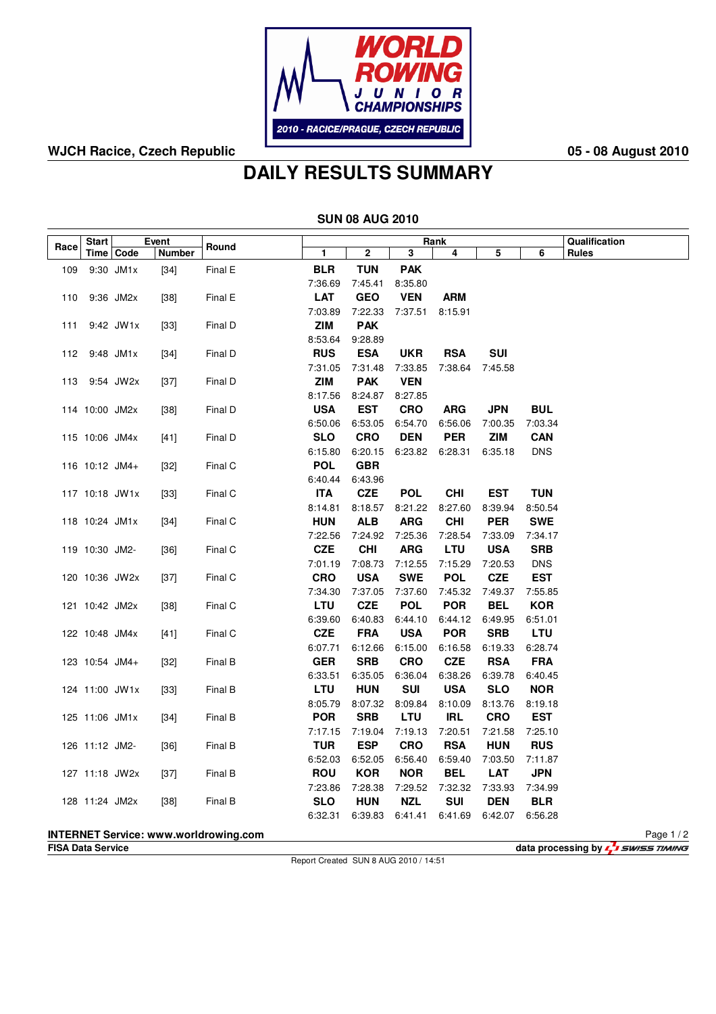

## **WJCH Racice, Czech Republic 05 - 08 August 2010**

# **DAILY RESULTS SUMMARY**

|      |                |             |               |                                              |            | <b>SUN 08 AUG 2010</b> |            |            |            |            |               |
|------|----------------|-------------|---------------|----------------------------------------------|------------|------------------------|------------|------------|------------|------------|---------------|
|      | Start          |             | Event         |                                              | Rank       |                        |            |            |            |            | Qualification |
| Race |                | Time   Code | <b>Number</b> | Round                                        | 1          | 2                      | 3          | 4          | 5          | 6          | <b>Rules</b>  |
| 109  |                | 9:30 JM1x   | $[34]$        | Final E                                      | <b>BLR</b> | <b>TUN</b>             | <b>PAK</b> |            |            |            |               |
|      |                |             |               |                                              | 7:36.69    | 7:45.41                | 8:35.80    |            |            |            |               |
| 110  |                | 9:36 JM2x   | $[38]$        | Final E                                      | <b>LAT</b> | <b>GEO</b>             | <b>VEN</b> | ARM        |            |            |               |
|      |                |             |               |                                              | 7:03.89    | 7:22.33                | 7:37.51    | 8:15.91    |            |            |               |
| 111  |                | 9:42 JW1x   | $[33]$        | Final D                                      | ZIM        | <b>PAK</b>             |            |            |            |            |               |
|      |                |             |               |                                              | 8:53.64    | 9:28.89                |            |            |            |            |               |
| 112  |                | 9:48 JM1x   | $[34]$        | Final D                                      | <b>RUS</b> | <b>ESA</b>             | <b>UKR</b> | <b>RSA</b> | SUI        |            |               |
|      |                |             |               |                                              | 7:31.05    | 7:31.48                | 7:33.85    | 7:38.64    | 7:45.58    |            |               |
| 113  |                | 9:54 JW2x   | $[37]$        | Final D                                      | ZIM        | <b>PAK</b>             | <b>VEN</b> |            |            |            |               |
|      |                |             |               |                                              | 8:17.56    | 8:24.87                | 8:27.85    |            |            |            |               |
|      | 114 10:00 JM2x |             | $[38]$        | Final D                                      | <b>USA</b> | <b>EST</b>             | <b>CRO</b> | ARG        | JPN        | <b>BUL</b> |               |
|      |                |             |               |                                              | 6:50.06    | 6:53.05                | 6:54.70    | 6:56.06    | 7:00.35    | 7:03.34    |               |
|      | 115 10:06 JM4x |             | [41]          | Final D                                      | <b>SLO</b> | <b>CRO</b>             | <b>DEN</b> | <b>PER</b> | <b>ZIM</b> | <b>CAN</b> |               |
|      |                |             |               |                                              | 6:15.80    | 6:20.15                | 6:23.82    | 6:28.31    | 6:35.18    | <b>DNS</b> |               |
|      | 116 10:12 JM4+ |             | $[32]$        | Final C                                      | <b>POL</b> | <b>GBR</b>             |            |            |            |            |               |
|      |                |             |               |                                              | 6:40.44    | 6:43.96                |            |            |            |            |               |
|      | 117 10:18 JW1x |             | $[33]$        | Final C                                      | <b>ITA</b> | <b>CZE</b>             | <b>POL</b> | <b>CHI</b> | <b>EST</b> | <b>TUN</b> |               |
|      |                |             |               |                                              | 8:14.81    | 8:18.57                | 8:21.22    | 8:27.60    | 8:39.94    | 8:50.54    |               |
|      | 118 10:24 JM1x |             | $[34]$        | Final C                                      | <b>HUN</b> | ALB                    | <b>ARG</b> | <b>CHI</b> | <b>PER</b> | <b>SWE</b> |               |
|      |                |             |               |                                              | 7:22.56    | 7:24.92                | 7:25.36    | 7:28.54    | 7:33.09    | 7:34.17    |               |
|      | 119 10:30 JM2- |             | $[36]$        | Final C                                      | <b>CZE</b> | <b>CHI</b>             | <b>ARG</b> | LTU        | <b>USA</b> | <b>SRB</b> |               |
|      |                |             |               |                                              | 7:01.19    | 7:08.73                | 7:12.55    | 7:15.29    | 7:20.53    | <b>DNS</b> |               |
|      | 120 10:36 JW2x |             | $[37]$        | Final C                                      | <b>CRO</b> | <b>USA</b>             | <b>SWE</b> | <b>POL</b> | <b>CZE</b> | <b>EST</b> |               |
|      |                |             |               |                                              | 7:34.30    | 7:37.05                | 7:37.60    | 7:45.32    | 7:49.37    | 7:55.85    |               |
|      | 121 10:42 JM2x |             | $[38]$        | Final C                                      | LTU        | <b>CZE</b>             | <b>POL</b> | <b>POR</b> | <b>BEL</b> | <b>KOR</b> |               |
|      |                |             |               |                                              | 6:39.60    | 6:40.83                | 6:44.10    | 6:44.12    | 6:49.95    | 6:51.01    |               |
|      | 122 10:48 JM4x |             | [41]          | Final C                                      | <b>CZE</b> | <b>FRA</b>             | <b>USA</b> | <b>POR</b> | <b>SRB</b> | <b>LTU</b> |               |
|      |                |             |               |                                              | 6:07.71    | 6:12.66                | 6:15.00    | 6:16.58    | 6:19.33    | 6:28.74    |               |
|      | 123 10:54 JM4+ |             | $[32]$        | Final B                                      | GER        | <b>SRB</b>             | <b>CRO</b> | <b>CZE</b> | <b>RSA</b> | <b>FRA</b> |               |
|      |                |             |               |                                              | 6:33.51    | 6:35.05                | 6:36.04    | 6:38.26    | 6:39.78    | 6:40.45    |               |
|      | 124 11:00 JW1x |             | $[33]$        | Final B                                      | LTU        | <b>HUN</b>             | <b>SUI</b> | <b>USA</b> | <b>SLO</b> | <b>NOR</b> |               |
|      |                |             |               |                                              | 8:05.79    | 8:07.32                | 8:09.84    | 8:10.09    | 8:13.76    | 8:19.18    |               |
|      | 125 11:06 JM1x |             | $[34]$        | Final B                                      | <b>POR</b> | <b>SRB</b>             | LTU        | <b>IRL</b> | <b>CRO</b> | EST        |               |
|      |                |             |               |                                              | 7:17.15    | 7:19.04                | 7:19.13    | 7:20.51    | 7:21.58    | 7:25.10    |               |
|      | 126 11:12 JM2- |             | $[36]$        | Final B                                      | <b>TUR</b> | <b>ESP</b>             | <b>CRO</b> | <b>RSA</b> | <b>HUN</b> | <b>RUS</b> |               |
|      |                |             |               |                                              | 6:52.03    | 6:52.05                | 6:56.40    | 6:59.40    | 7:03.50    | 7:11.87    |               |
|      | 127 11:18 JW2x |             | $[37]$        | Final B                                      | <b>ROU</b> | <b>KOR</b>             | <b>NOR</b> | BEL        | <b>LAT</b> | <b>JPN</b> |               |
|      |                |             |               |                                              | 7:23.86    | 7:28.38                | 7:29.52    | 7:32.32    | 7:33.93    | 7:34.99    |               |
|      | 128 11:24 JM2x |             | $[38]$        | Final B                                      | <b>SLO</b> | <b>HUN</b>             | <b>NZL</b> | SUI        | <b>DEN</b> | <b>BLR</b> |               |
|      |                |             |               |                                              | 6:32.31    | 6:39.83                | 6:41.41    | 6:41.69    | 6:42.07    | 6:56.28    |               |
|      |                |             |               | <b>INTERNET Service: www.worldrowing.com</b> |            |                        |            |            |            |            | Page $1/2$    |
|      |                |             |               |                                              |            |                        |            |            |            |            |               |

**SUN 08 AUG 2010**

**FISA Data Service data processing by** 

Report Created SUN 8 AUG 2010 / 14:51